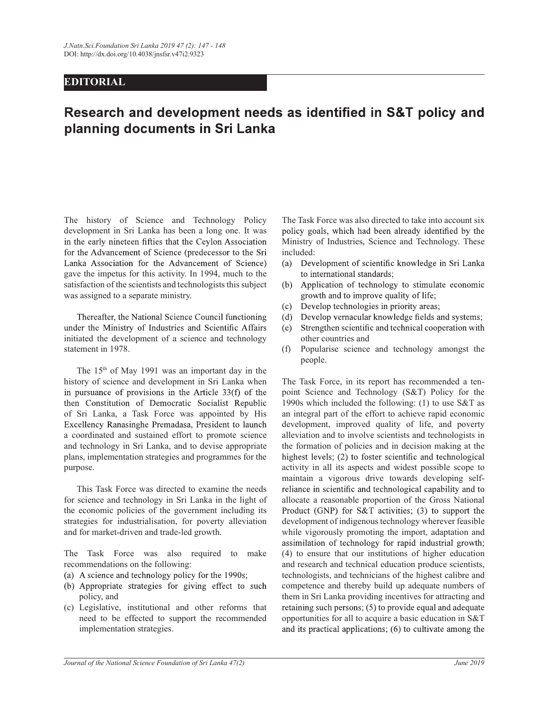## EDITORIAL

## Research and development needs as identified in S&T policy and planning documents in Sri Lanka

The history of Science and Technology Policy development in Sri Lanka has been a long one. It was policy goals, which had been already identified by the in the early nineteen fifties that the Ceylon Association for the Advancement of Science (predecessor to the Sri Lanka Association for the Advancement of Science) gave the impetus for this activity. In 1994, much to the to international standards; satisfaction of the scientists and technologists this subject (b) Application of technology to stimulate economic was assigned to a separate ministry.

Thereafter, the National Science Council functioning under the Ministry of Industries and Scientific Affairs initiated the development of a science and technology statement in 1978.

 The 15th of May 1991 was an important day in the history of science and development in Sri Lanka when in pursuance of provisions in the Article  $33(f)$  of the then Constitution of Democratic Socialist Republic of Sri Lanka, a Task Force was appointed by His Excellency Ranasinghe Premadasa, President to launch a coordinated and sustained effort to promote science and technology in Sri Lanka, and to devise appropriate plans, implementation strategies and programmes for the purpose.

for science and technology in Sri Lanka in the light of the economic policies of the government including its Product (GNP) for  $S&T$  activities; (3) to support the strategies for industrialisation, for poverty alleviation and for market-driven and trade-led growth.

The Task Force was also required to make recommendations on the following:

- (a) A science and technology policy for the 1990s;
- (b) Appropriate strategies for giving effect to such policy, and
- need to be effected to support the recommended implementation strategies.

The Task Force was also directed to take into account six Ministry of Industries, Science and Technology. These included:

- Development of scientific knowledge in Sri Lanka (a)
- growth and to improve quality of life;
- Develop technologies in priority areas;  $(c)$
- Develop vernacular knowledge fields and systems:  $(d)$
- Strengthen scientific and technical cooperation with (e) other countries and
- (f) Popularise science and technology amongst the people.

The Task Force, in its report has recommended a tenpoint Science and Technology (S&T) Policy for the 1990s which included the following: (1) to use S&T as an integral part of the effort to achieve rapid economic development, improved quality of life, and poverty alleviation and to involve scientists and technologists in the formation of policies and in decision making at the activity in all its aspects and widest possible scope to maintain a vigorous drive towards developing self-This Task Force was directed to examine the needs reliance in scientific and technological capability and to allocate a reasonable proportion of the Gross National development of indigenous technology wherever feasible while vigorously promoting the import, adaptation and assimilation of technology for rapid industrial growth; (4) to ensure that our institutions of higher education and research and technical education produce scientists, technologists, and technicians of the highest calibre and competence and thereby build up adequate numbers of them in Sri Lanka providing incentives for attracting and (c) Legislative, institutional and other reforms that opportunities for all to acquire a basic education in S&T and its practical applications;  $(6)$  to cultivate among the